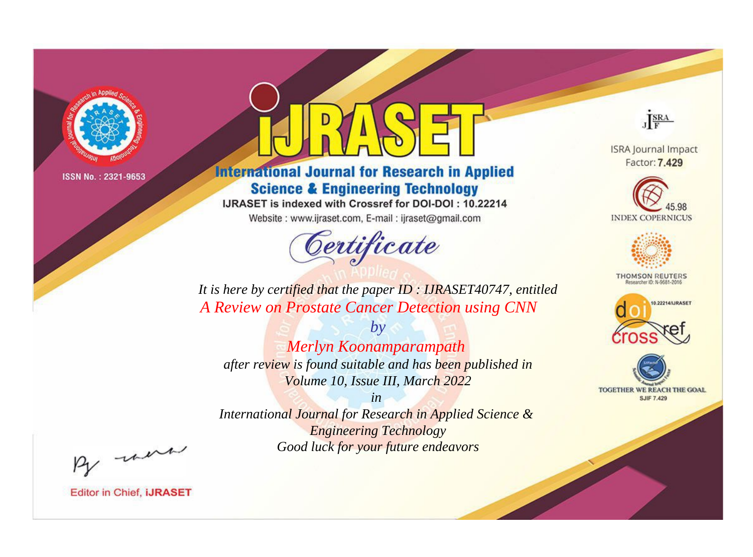

# **International Journal for Research in Applied Science & Engineering Technology**

IJRASET is indexed with Crossref for DOI-DOI: 10.22214

Website: www.ijraset.com, E-mail: ijraset@gmail.com



JERA

**ISRA Journal Impact** Factor: 7.429





**THOMSON REUTERS** 



TOGETHER WE REACH THE GOAL **SJIF 7.429** 

It is here by certified that the paper ID: IJRASET40747, entitled A Review on Prostate Cancer Detection using CNN

Merlyn Koonamparampath after review is found suitable and has been published in Volume 10, Issue III, March 2022

 $by$ 

 $in$ International Journal for Research in Applied Science & **Engineering Technology** Good luck for your future endeavors

By morn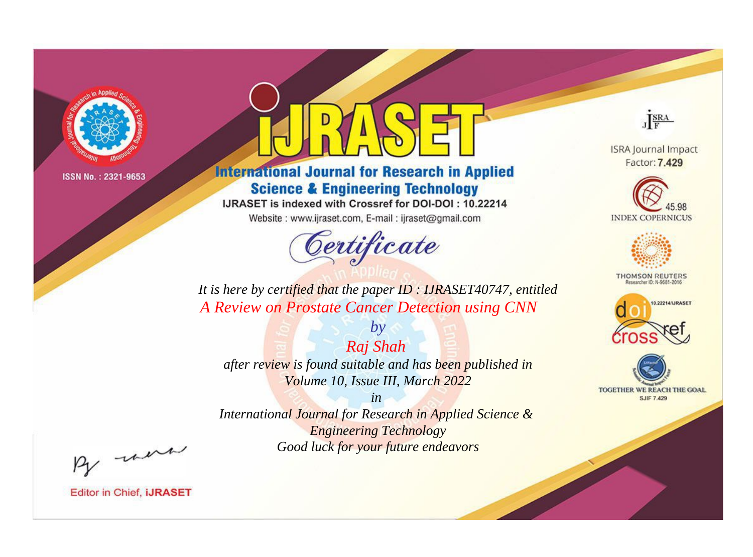

# **International Journal for Research in Applied Science & Engineering Technology**

IJRASET is indexed with Crossref for DOI-DOI: 10.22214

Website: www.ijraset.com, E-mail: ijraset@gmail.com



JERA

**ISRA Journal Impact** Factor: 7.429





**THOMSON REUTERS** 



TOGETHER WE REACH THE GOAL **SJIF 7.429** 

It is here by certified that the paper ID: IJRASET40747, entitled A Review on Prostate Cancer Detection using CNN

Raj Shah after review is found suitable and has been published in Volume 10, Issue III, March 2022

 $by$ 

 $in$ International Journal for Research in Applied Science & **Engineering Technology** Good luck for your future endeavors

By morn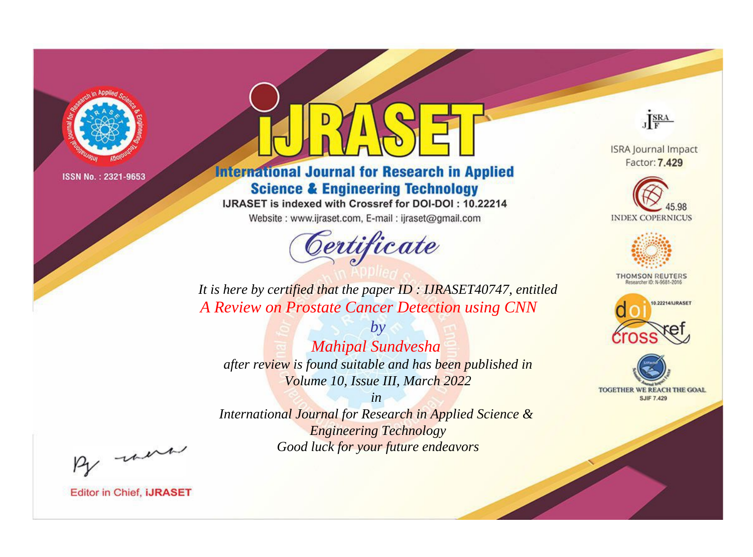

# **International Journal for Research in Applied Science & Engineering Technology**

IJRASET is indexed with Crossref for DOI-DOI: 10.22214

Website: www.ijraset.com, E-mail: ijraset@gmail.com



JERA

**ISRA Journal Impact** Factor: 7.429





**THOMSON REUTERS** 



TOGETHER WE REACH THE GOAL **SJIF 7.429** 

It is here by certified that the paper ID: IJRASET40747, entitled A Review on Prostate Cancer Detection using CNN

 $by$ **Mahipal Sundvesha** after review is found suitable and has been published in Volume 10, Issue III, March 2022

 $in$ International Journal for Research in Applied Science & **Engineering Technology** Good luck for your future endeavors

By morn